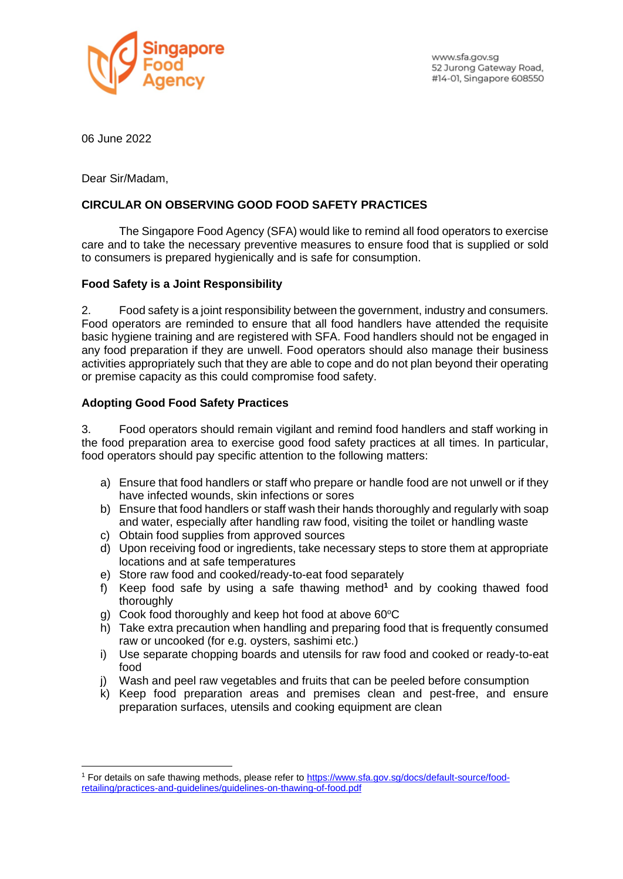

www.sfa.gov.sg 52 Jurong Gateway Road, #14-01, Singapore 608550

06 June 2022

Dear Sir/Madam,

## **CIRCULAR ON OBSERVING GOOD FOOD SAFETY PRACTICES**

The Singapore Food Agency (SFA) would like to remind all food operators to exercise care and to take the necessary preventive measures to ensure food that is supplied or sold to consumers is prepared hygienically and is safe for consumption.

## **Food Safety is a Joint Responsibility**

2. Food safety is a joint responsibility between the government, industry and consumers. Food operators are reminded to ensure that all food handlers have attended the requisite basic hygiene training and are registered with SFA. Food handlers should not be engaged in any food preparation if they are unwell. Food operators should also manage their business activities appropriately such that they are able to cope and do not plan beyond their operating or premise capacity as this could compromise food safety.

## **Adopting Good Food Safety Practices**

3. Food operators should remain vigilant and remind food handlers and staff working in the food preparation area to exercise good food safety practices at all times. In particular, food operators should pay specific attention to the following matters:

- a) Ensure that food handlers or staff who prepare or handle food are not unwell or if they have infected wounds, skin infections or sores
- b) Ensure that food handlers or staff wash their hands thoroughly and regularly with soap and water, especially after handling raw food, visiting the toilet or handling waste
- c) Obtain food supplies from approved sources
- d) Upon receiving food or ingredients, take necessary steps to store them at appropriate locations and at safe temperatures
- e) Store raw food and cooked/ready-to-eat food separately
- f) Keep food safe by using a safe thawing method**<sup>1</sup>** and by cooking thawed food thoroughly
- g) Cook food thoroughly and keep hot food at above  $60^{\circ}$ C
- h) Take extra precaution when handling and preparing food that is frequently consumed raw or uncooked (for e.g. oysters, sashimi etc.)
- i) Use separate chopping boards and utensils for raw food and cooked or ready-to-eat food
- j) Wash and peel raw vegetables and fruits that can be peeled before consumption
- k) Keep food preparation areas and premises clean and pest-free, and ensure preparation surfaces, utensils and cooking equipment are clean

<sup>1</sup> For details on safe thawing methods, please refer to [https://www.sfa.gov.sg/docs/default-source/food](https://www.sfa.gov.sg/docs/default-source/food-retailing/practices-and-guidelines/guidelines-on-thawing-of-food.pdf)[retailing/practices-and-guidelines/guidelines-on-thawing-of-food.pdf](https://www.sfa.gov.sg/docs/default-source/food-retailing/practices-and-guidelines/guidelines-on-thawing-of-food.pdf)